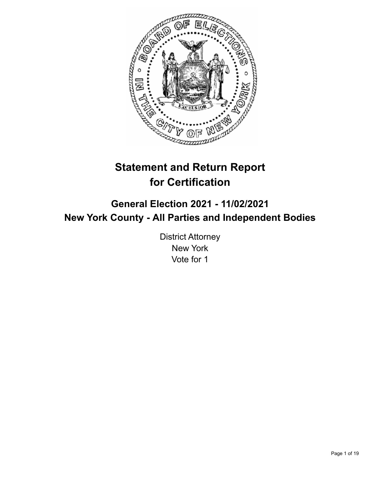

# **Statement and Return Report for Certification**

# **General Election 2021 - 11/02/2021 New York County - All Parties and Independent Bodies**

District Attorney New York Vote for 1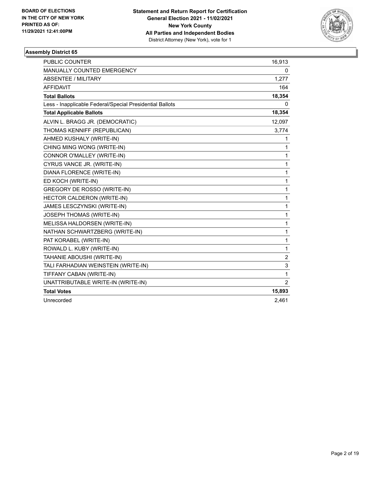

| <b>PUBLIC COUNTER</b>                                    | 16,913         |
|----------------------------------------------------------|----------------|
| <b>MANUALLY COUNTED EMERGENCY</b>                        | 0              |
| <b>ABSENTEE / MILITARY</b>                               | 1,277          |
| <b>AFFIDAVIT</b>                                         | 164            |
| <b>Total Ballots</b>                                     | 18,354         |
| Less - Inapplicable Federal/Special Presidential Ballots | 0              |
| <b>Total Applicable Ballots</b>                          | 18,354         |
| ALVIN L. BRAGG JR. (DEMOCRATIC)                          | 12,097         |
| THOMAS KENNIFF (REPUBLICAN)                              | 3,774          |
| AHMED KUSHALY (WRITE-IN)                                 | 1              |
| CHING MING WONG (WRITE-IN)                               | 1              |
| CONNOR O'MALLEY (WRITE-IN)                               | 1              |
| CYRUS VANCE JR. (WRITE-IN)                               | 1              |
| DIANA FLORENCE (WRITE-IN)                                | 1              |
| ED KOCH (WRITE-IN)                                       | 1              |
| <b>GREGORY DE ROSSO (WRITE-IN)</b>                       | 1              |
| HECTOR CALDERON (WRITE-IN)                               | 1              |
| JAMES LESCZYNSKI (WRITE-IN)                              | 1              |
| JOSEPH THOMAS (WRITE-IN)                                 | 1              |
| MELISSA HALDORSEN (WRITE-IN)                             | 1              |
| NATHAN SCHWARTZBERG (WRITE-IN)                           | 1              |
| PAT KORABEL (WRITE-IN)                                   | 1              |
| ROWALD L. KUBY (WRITE-IN)                                | 1              |
| TAHANIE ABOUSHI (WRITE-IN)                               | $\overline{c}$ |
| TALI FARHADIAN WEINSTEIN (WRITE-IN)                      | 3              |
| TIFFANY CABAN (WRITE-IN)                                 | 1              |
| UNATTRIBUTABLE WRITE-IN (WRITE-IN)                       | $\overline{2}$ |
| <b>Total Votes</b>                                       | 15,893         |
| Unrecorded                                               | 2,461          |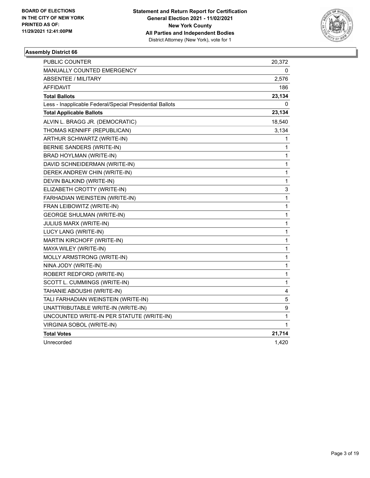

| <b>PUBLIC COUNTER</b>                                    | 20,372       |
|----------------------------------------------------------|--------------|
| <b>MANUALLY COUNTED EMERGENCY</b>                        | 0            |
| ABSENTEE / MILITARY                                      | 2,576        |
| <b>AFFIDAVIT</b>                                         | 186          |
| <b>Total Ballots</b>                                     | 23,134       |
| Less - Inapplicable Federal/Special Presidential Ballots | 0            |
| <b>Total Applicable Ballots</b>                          | 23,134       |
| ALVIN L. BRAGG JR. (DEMOCRATIC)                          | 18,540       |
| THOMAS KENNIFF (REPUBLICAN)                              | 3,134        |
| ARTHUR SCHWARTZ (WRITE-IN)                               | 1            |
| BERNIE SANDERS (WRITE-IN)                                | 1            |
| BRAD HOYLMAN (WRITE-IN)                                  | 1            |
| DAVID SCHNEIDERMAN (WRITE-IN)                            | 1            |
| DEREK ANDREW CHIN (WRITE-IN)                             | 1            |
| DEVIN BALKIND (WRITE-IN)                                 | 1            |
| ELIZABETH CROTTY (WRITE-IN)                              | 3            |
| FARHADIAN WEINSTEIN (WRITE-IN)                           | $\mathbf{1}$ |
| FRAN LEIBOWITZ (WRITE-IN)                                | 1            |
| <b>GEORGE SHULMAN (WRITE-IN)</b>                         | 1            |
| JULIUS MARX (WRITE-IN)                                   | 1            |
| LUCY LANG (WRITE-IN)                                     | $\mathbf{1}$ |
| <b>MARTIN KIRCHOFF (WRITE-IN)</b>                        | $\mathbf{1}$ |
| MAYA WILEY (WRITE-IN)                                    | 1            |
| MOLLY ARMSTRONG (WRITE-IN)                               | 1            |
| NINA JODY (WRITE-IN)                                     | $\mathbf{1}$ |
| ROBERT REDFORD (WRITE-IN)                                | $\mathbf{1}$ |
| SCOTT L. CUMMINGS (WRITE-IN)                             | $\mathbf{1}$ |
| TAHANIE ABOUSHI (WRITE-IN)                               | 4            |
| TALI FARHADIAN WEINSTEIN (WRITE-IN)                      | 5            |
| UNATTRIBUTABLE WRITE-IN (WRITE-IN)                       | 9            |
| UNCOUNTED WRITE-IN PER STATUTE (WRITE-IN)                | 1            |
| VIRGINIA SOBOL (WRITE-IN)                                | 1            |
| <b>Total Votes</b>                                       | 21,714       |
| Unrecorded                                               | 1,420        |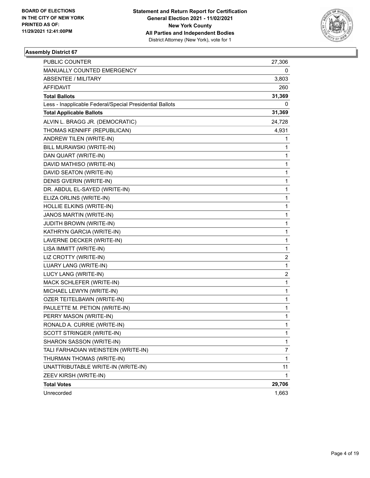

| <b>PUBLIC COUNTER</b>                                    | 27,306                  |
|----------------------------------------------------------|-------------------------|
| MANUALLY COUNTED EMERGENCY                               | 0                       |
| <b>ABSENTEE / MILITARY</b>                               | 3,803                   |
| AFFIDAVIT                                                | 260                     |
| <b>Total Ballots</b>                                     | 31,369                  |
| Less - Inapplicable Federal/Special Presidential Ballots | 0                       |
| <b>Total Applicable Ballots</b>                          | 31,369                  |
| ALVIN L. BRAGG JR. (DEMOCRATIC)                          | 24,728                  |
| THOMAS KENNIFF (REPUBLICAN)                              | 4,931                   |
| ANDREW TILEN (WRITE-IN)                                  | 1                       |
| BILL MURAWSKI (WRITE-IN)                                 | 1                       |
| DAN QUART (WRITE-IN)                                     | 1                       |
| DAVID MATHISO (WRITE-IN)                                 | 1                       |
| DAVID SEATON (WRITE-IN)                                  | 1                       |
| DENIS GVERIN (WRITE-IN)                                  | 1                       |
| DR. ABDUL EL-SAYED (WRITE-IN)                            | 1                       |
| ELIZA ORLINS (WRITE-IN)                                  | 1                       |
| HOLLIE ELKINS (WRITE-IN)                                 | 1                       |
| JANOS MARTIN (WRITE-IN)                                  | 1                       |
| JUDITH BROWN (WRITE-IN)                                  | 1                       |
| KATHRYN GARCIA (WRITE-IN)                                | 1                       |
| LAVERNE DECKER (WRITE-IN)                                | 1                       |
| LISA IMMITT (WRITE-IN)                                   | 1                       |
| LIZ CROTTY (WRITE-IN)                                    | 2                       |
| LUARY LANG (WRITE-IN)                                    | 1                       |
| LUCY LANG (WRITE-IN)                                     | $\overline{\mathbf{c}}$ |
| MACK SCHLEFER (WRITE-IN)                                 | 1                       |
| MICHAEL LEWYN (WRITE-IN)                                 | 1                       |
| OZER TEITELBAWN (WRITE-IN)                               | 1                       |
| PAULETTE M. PETION (WRITE-IN)                            | 1                       |
| PERRY MASON (WRITE-IN)                                   | 1                       |
| RONALD A. CURRIE (WRITE-IN)                              | 1                       |
| SCOTT STRINGER (WRITE-IN)                                | 1                       |
| SHARON SASSON (WRITE-IN)                                 | 1                       |
| TALI FARHADIAN WEINSTEIN (WRITE-IN)                      | 7                       |
| THURMAN THOMAS (WRITE-IN)                                | 1                       |
| UNATTRIBUTABLE WRITE-IN (WRITE-IN)                       | 11                      |
| ZEEV KIRSH (WRITE-IN)                                    | 1                       |
| <b>Total Votes</b>                                       | 29,706                  |
| Unrecorded                                               | 1,663                   |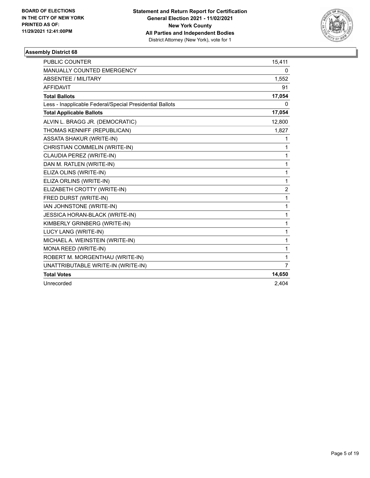

| PUBLIC COUNTER                                           | 15,411                  |
|----------------------------------------------------------|-------------------------|
| MANUALLY COUNTED EMERGENCY                               | 0                       |
| ABSENTEE / MILITARY                                      | 1,552                   |
| <b>AFFIDAVIT</b>                                         | 91                      |
| <b>Total Ballots</b>                                     | 17,054                  |
| Less - Inapplicable Federal/Special Presidential Ballots | 0                       |
| <b>Total Applicable Ballots</b>                          | 17,054                  |
| ALVIN L. BRAGG JR. (DEMOCRATIC)                          | 12,800                  |
| THOMAS KENNIFF (REPUBLICAN)                              | 1,827                   |
| <b>ASSATA SHAKUR (WRITE-IN)</b>                          | 1                       |
| CHRISTIAN COMMELIN (WRITE-IN)                            | 1                       |
| CLAUDIA PEREZ (WRITE-IN)                                 | $\mathbf{1}$            |
| DAN M. RATLEN (WRITE-IN)                                 | $\mathbf{1}$            |
| ELIZA OLINS (WRITE-IN)                                   | $\mathbf{1}$            |
| ELIZA ORLINS (WRITE-IN)                                  | $\mathbf{1}$            |
| ELIZABETH CROTTY (WRITE-IN)                              | $\overline{\mathbf{c}}$ |
| FRED DURST (WRITE-IN)                                    | 1                       |
| IAN JOHNSTONE (WRITE-IN)                                 | 1                       |
| JESSICA HORAN-BLACK (WRITE-IN)                           | $\mathbf{1}$            |
| KIMBERLY GRINBERG (WRITE-IN)                             | $\mathbf{1}$            |
| LUCY LANG (WRITE-IN)                                     | $\mathbf{1}$            |
| MICHAEL A. WEINSTEIN (WRITE-IN)                          | $\mathbf{1}$            |
| MONA REED (WRITE-IN)                                     | $\mathbf{1}$            |
| ROBERT M. MORGENTHAU (WRITE-IN)                          | $\mathbf{1}$            |
| UNATTRIBUTABLE WRITE-IN (WRITE-IN)                       | $\overline{7}$          |
| <b>Total Votes</b>                                       | 14,650                  |
| Unrecorded                                               | 2,404                   |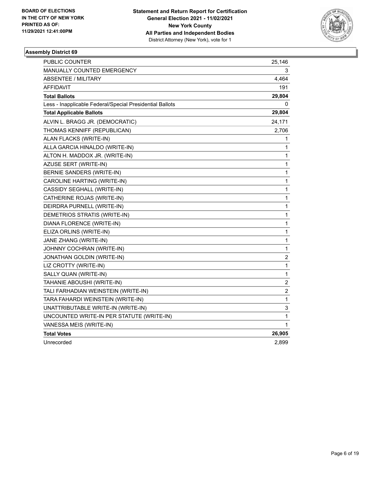

| <b>PUBLIC COUNTER</b>                                    | 25,146                  |
|----------------------------------------------------------|-------------------------|
| <b>MANUALLY COUNTED EMERGENCY</b>                        | 3                       |
| ABSENTEE / MILITARY                                      | 4,464                   |
| AFFIDAVIT                                                | 191                     |
| <b>Total Ballots</b>                                     | 29,804                  |
| Less - Inapplicable Federal/Special Presidential Ballots | 0                       |
| <b>Total Applicable Ballots</b>                          | 29,804                  |
| ALVIN L. BRAGG JR. (DEMOCRATIC)                          | 24,171                  |
| THOMAS KENNIFF (REPUBLICAN)                              | 2,706                   |
| ALAN FLACKS (WRITE-IN)                                   | 1                       |
| ALLA GARCIA HINALDO (WRITE-IN)                           | 1                       |
| ALTON H. MADDOX JR. (WRITE-IN)                           | 1                       |
| AZUSE SERT (WRITE-IN)                                    | $\mathbf{1}$            |
| BERNIE SANDERS (WRITE-IN)                                | $\mathbf{1}$            |
| CAROLINE HARTING (WRITE-IN)                              | $\mathbf{1}$            |
| CASSIDY SEGHALL (WRITE-IN)                               | 1                       |
| CATHERINE ROJAS (WRITE-IN)                               | 1                       |
| DEIRDRA PURNELL (WRITE-IN)                               | 1                       |
| DEMETRIOS STRATIS (WRITE-IN)                             | $\mathbf{1}$            |
| DIANA FLORENCE (WRITE-IN)                                | 1                       |
| ELIZA ORLINS (WRITE-IN)                                  | 1                       |
| JANE ZHANG (WRITE-IN)                                    | 1                       |
| JOHNNY COCHRAN (WRITE-IN)                                | $\mathbf{1}$            |
| JONATHAN GOLDIN (WRITE-IN)                               | 2                       |
| LIZ CROTTY (WRITE-IN)                                    | 1                       |
| SALLY QUAN (WRITE-IN)                                    | $\mathbf{1}$            |
| TAHANIE ABOUSHI (WRITE-IN)                               | $\overline{\mathbf{c}}$ |
| TALI FARHADIAN WEINSTEIN (WRITE-IN)                      | $\overline{c}$          |
| TARA FAHARDI WEINSTEIN (WRITE-IN)                        | 1                       |
| UNATTRIBUTABLE WRITE-IN (WRITE-IN)                       | 3                       |
| UNCOUNTED WRITE-IN PER STATUTE (WRITE-IN)                | $\mathbf{1}$            |
| VANESSA MEIS (WRITE-IN)                                  | 1                       |
| <b>Total Votes</b>                                       | 26,905                  |
| Unrecorded                                               | 2,899                   |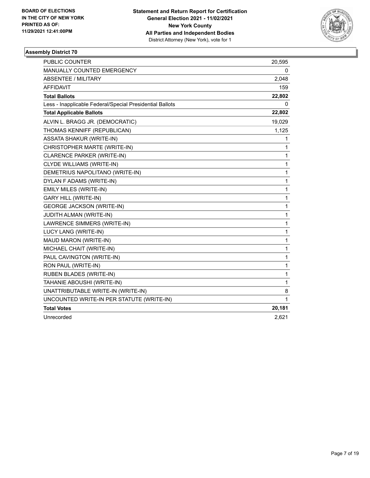

| <b>PUBLIC COUNTER</b>                                    | 20,595       |
|----------------------------------------------------------|--------------|
| MANUALLY COUNTED EMERGENCY                               | 0            |
| <b>ABSENTEE / MILITARY</b>                               | 2,048        |
| <b>AFFIDAVIT</b>                                         | 159          |
| <b>Total Ballots</b>                                     | 22,802       |
| Less - Inapplicable Federal/Special Presidential Ballots | 0            |
| <b>Total Applicable Ballots</b>                          | 22,802       |
| ALVIN L. BRAGG JR. (DEMOCRATIC)                          | 19,029       |
| THOMAS KENNIFF (REPUBLICAN)                              | 1,125        |
| <b>ASSATA SHAKUR (WRITE-IN)</b>                          | 1            |
| CHRISTOPHER MARTE (WRITE-IN)                             | 1            |
| CLARENCE PARKER (WRITE-IN)                               | 1            |
| CLYDE WILLIAMS (WRITE-IN)                                | 1            |
| DEMETRIUS NAPOLITANO (WRITE-IN)                          | 1            |
| DYLAN F ADAMS (WRITE-IN)                                 | 1            |
| EMILY MILES (WRITE-IN)                                   | 1            |
| <b>GARY HILL (WRITE-IN)</b>                              | $\mathbf{1}$ |
| <b>GEORGE JACKSON (WRITE-IN)</b>                         | 1            |
| JUDITH ALMAN (WRITE-IN)                                  | 1            |
| LAWRENCE SIMMERS (WRITE-IN)                              | 1            |
| LUCY LANG (WRITE-IN)                                     | 1            |
| MAUD MARON (WRITE-IN)                                    | 1            |
| MICHAEL CHAIT (WRITE-IN)                                 | 1            |
| PAUL CAVINGTON (WRITE-IN)                                | 1            |
| RON PAUL (WRITE-IN)                                      | 1            |
| RUBEN BLADES (WRITE-IN)                                  | 1            |
| TAHANIE ABOUSHI (WRITE-IN)                               | 1            |
| UNATTRIBUTABLE WRITE-IN (WRITE-IN)                       | 8            |
| UNCOUNTED WRITE-IN PER STATUTE (WRITE-IN)                | 1            |
| <b>Total Votes</b>                                       | 20,181       |
| Unrecorded                                               | 2,621        |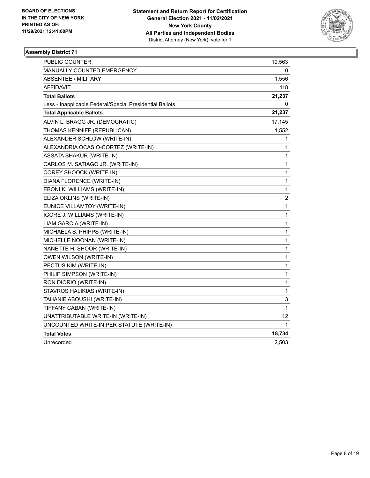

| PUBLIC COUNTER                                           | 19,563         |
|----------------------------------------------------------|----------------|
| <b>MANUALLY COUNTED EMERGENCY</b>                        | 0              |
| ABSENTEE / MILITARY                                      | 1,556          |
| <b>AFFIDAVIT</b>                                         | 118            |
| <b>Total Ballots</b>                                     | 21,237         |
| Less - Inapplicable Federal/Special Presidential Ballots | 0              |
| <b>Total Applicable Ballots</b>                          | 21,237         |
| ALVIN L. BRAGG JR. (DEMOCRATIC)                          | 17,145         |
| THOMAS KENNIFF (REPUBLICAN)                              | 1,552          |
| ALEXANDER SCHLOW (WRITE-IN)                              | 1              |
| ALEXANDRIA OCASIO-CORTEZ (WRITE-IN)                      | 1              |
| ASSATA SHAKUR (WRITE-IN)                                 | $\mathbf{1}$   |
| CARLOS M. SATIAGO JR. (WRITE-IN)                         | 1              |
| COREY SHOOCK (WRITE-IN)                                  | 1              |
| DIANA FLORENCE (WRITE-IN)                                | $\mathbf{1}$   |
| EBONI K. WILLIAMS (WRITE-IN)                             | $\mathbf{1}$   |
| ELIZA ORLINS (WRITE-IN)                                  | $\overline{c}$ |
| EUNICE VILLAMTOY (WRITE-IN)                              | 1              |
| IGORE J. WILLIAMS (WRITE-IN)                             | 1              |
| LIAM GARCIA (WRITE-IN)                                   | $\mathbf{1}$   |
| MICHAELA S. PHIPPS (WRITE-IN)                            | $\mathbf{1}$   |
| MICHELLE NOONAN (WRITE-IN)                               | $\mathbf{1}$   |
| NANETTE H. SHOOR (WRITE-IN)                              | 1              |
| <b>OWEN WILSON (WRITE-IN)</b>                            | $\mathbf{1}$   |
| PECTUS KIM (WRITE-IN)                                    | $\mathbf{1}$   |
| PHILIP SIMPSON (WRITE-IN)                                | $\mathbf{1}$   |
| RON DIORIO (WRITE-IN)                                    | $\mathbf{1}$   |
| STAVROS HALIKIAS (WRITE-IN)                              | 1              |
| TAHANIE ABOUSHI (WRITE-IN)                               | 3              |
| TIFFANY CABAN (WRITE-IN)                                 | 1              |
| UNATTRIBUTABLE WRITE-IN (WRITE-IN)                       | 12             |
| UNCOUNTED WRITE-IN PER STATUTE (WRITE-IN)                | 1              |
| <b>Total Votes</b>                                       | 18,734         |
| Unrecorded                                               | 2,503          |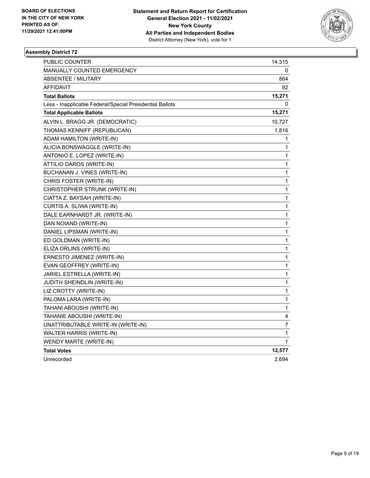

| PUBLIC COUNTER                                           | 14,315         |
|----------------------------------------------------------|----------------|
| <b>MANUALLY COUNTED EMERGENCY</b>                        | 0              |
| ABSENTEE / MILITARY                                      | 864            |
| <b>AFFIDAVIT</b>                                         | 92             |
| <b>Total Ballots</b>                                     | 15,271         |
| Less - Inapplicable Federal/Special Presidential Ballots | 0              |
| <b>Total Applicable Ballots</b>                          | 15,271         |
| ALVIN L. BRAGG JR. (DEMOCRATIC)                          | 10,727         |
| THOMAS KENNIFF (REPUBLICAN)                              | 1,816          |
| ADAM HAMILTON (WRITE-IN)                                 | 1              |
| ALICIA BONSWAGGLE (WRITE-IN)                             | 1              |
| ANTONIO E. LOPEZ (WRITE-IN)                              | 1              |
| ATTILIO DAROS (WRITE-IN)                                 | $\mathbf{1}$   |
| BUCHANAN J. VINES (WRITE-IN)                             | 1              |
| CHRIS FOSTER (WRITE-IN)                                  | 1              |
| CHRISTOPHER STRUNK (WRITE-IN)                            | 1              |
| CIATTA Z. BAYSAH (WRITE-IN)                              | 1              |
| CURTIS A. SLIWA (WRITE-IN)                               | 1              |
| DALE EARNHARDT JR. (WRITE-IN)                            | 1              |
| DAN NOIAND (WRITE-IN)                                    | 1              |
| DANIEL LIPSMAN (WRITE-IN)                                | 1              |
| ED GOLDMAN (WRITE-IN)                                    | 1              |
| ELIZA ORLINS (WRITE-IN)                                  | 1              |
| ERNESTO JIMENEZ (WRITE-IN)                               | 1              |
| EVAN GEOFFREY (WRITE-IN)                                 | 1              |
| JARIEL ESTRELLA (WRITE-IN)                               | $\mathbf{1}$   |
| JUDITH SHEINDLIN (WRITE-IN)                              | $\mathbf{1}$   |
| LIZ CROTTY (WRITE-IN)                                    | 1              |
| PALOMA LARA (WRITE-IN)                                   | $\mathbf{1}$   |
| TAHANI ABOUSHI (WRITE-IN)                                | 1              |
| TAHANIE ABOUSHI (WRITE-IN)                               | 4              |
| UNATTRIBUTABLE WRITE-IN (WRITE-IN)                       | $\overline{7}$ |
| <b>WALTER HARRIS (WRITE-IN)</b>                          | 1              |
| WENDY MARTE (WRITE-IN)                                   | 1              |
| <b>Total Votes</b>                                       | 12,577         |
| Unrecorded                                               | 2,694          |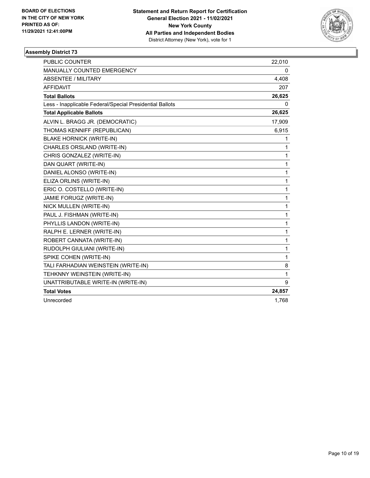

| <b>PUBLIC COUNTER</b>                                    | 22,010       |
|----------------------------------------------------------|--------------|
| <b>MANUALLY COUNTED EMERGENCY</b>                        | 0            |
| <b>ABSENTEE / MILITARY</b>                               | 4,408        |
| <b>AFFIDAVIT</b>                                         | 207          |
| <b>Total Ballots</b>                                     | 26,625       |
| Less - Inapplicable Federal/Special Presidential Ballots | 0            |
| <b>Total Applicable Ballots</b>                          | 26,625       |
| ALVIN L. BRAGG JR. (DEMOCRATIC)                          | 17,909       |
| THOMAS KENNIFF (REPUBLICAN)                              | 6,915        |
| <b>BLAKE HORNICK (WRITE-IN)</b>                          | 1            |
| CHARLES ORSLAND (WRITE-IN)                               | 1            |
| CHRIS GONZALEZ (WRITE-IN)                                | 1            |
| DAN QUART (WRITE-IN)                                     | 1            |
| DANIEL ALONSO (WRITE-IN)                                 | 1            |
| ELIZA ORLINS (WRITE-IN)                                  | 1            |
| ERIC O. COSTELLO (WRITE-IN)                              | 1            |
| JAMIE FORUGZ (WRITE-IN)                                  | 1            |
| NICK MULLEN (WRITE-IN)                                   | 1            |
| PAUL J. FISHMAN (WRITE-IN)                               | 1            |
| PHYLLIS LANDON (WRITE-IN)                                | 1            |
| RALPH E. LERNER (WRITE-IN)                               | 1            |
| ROBERT CANNATA (WRITE-IN)                                | 1            |
| RUDOLPH GIULIANI (WRITE-IN)                              | 1            |
| SPIKE COHEN (WRITE-IN)                                   | 1            |
| TALI FARHADIAN WEINSTEIN (WRITE-IN)                      | 8            |
| TEHKNNY WEINSTEIN (WRITE-IN)                             | $\mathbf{1}$ |
| UNATTRIBUTABLE WRITE-IN (WRITE-IN)                       | 9            |
| <b>Total Votes</b>                                       | 24,857       |
| Unrecorded                                               | 1,768        |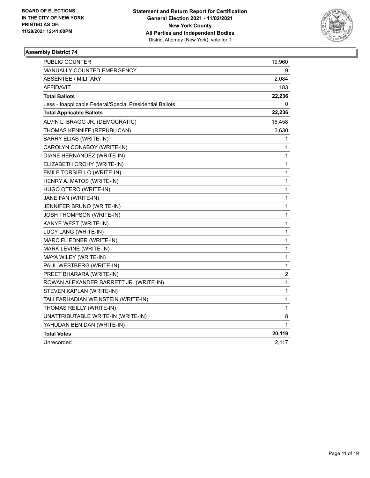

| <b>PUBLIC COUNTER</b>                                    | 19,960                  |
|----------------------------------------------------------|-------------------------|
| <b>MANUALLY COUNTED EMERGENCY</b>                        | 9                       |
| <b>ABSENTEE / MILITARY</b>                               | 2,084                   |
| <b>AFFIDAVIT</b>                                         | 183                     |
| <b>Total Ballots</b>                                     | 22,236                  |
| Less - Inapplicable Federal/Special Presidential Ballots | 0                       |
| <b>Total Applicable Ballots</b>                          | 22,236                  |
| ALVIN L. BRAGG JR. (DEMOCRATIC)                          | 16,458                  |
| THOMAS KENNIFF (REPUBLICAN)                              | 3,630                   |
| <b>BARRY ELIAS (WRITE-IN)</b>                            | 1                       |
| CAROLYN CONABOY (WRITE-IN)                               | 1                       |
| DIANE HERNANDEZ (WRITE-IN)                               | 1                       |
| ELIZABETH CROHY (WRITE-IN)                               | 1                       |
| EMILE TORSIELLO (WRITE-IN)                               | 1                       |
| HENRY A. MATOS (WRITE-IN)                                | 1                       |
| HUGO OTERO (WRITE-IN)                                    | $\mathbf{1}$            |
| JANE FAN (WRITE-IN)                                      | $\mathbf{1}$            |
| JENNIFER BRUNO (WRITE-IN)                                | 1                       |
| JOSH THOMPSON (WRITE-IN)                                 | 1                       |
| KANYE WEST (WRITE-IN)                                    | 1                       |
| LUCY LANG (WRITE-IN)                                     | $\mathbf{1}$            |
| MARC FLIEDNER (WRITE-IN)                                 | 1                       |
| MARK LEVINE (WRITE-IN)                                   | 1                       |
| MAYA WILEY (WRITE-IN)                                    | $\mathbf{1}$            |
| PAUL WESTBERG (WRITE-IN)                                 | 1                       |
| PREET BHARARA (WRITE-IN)                                 | $\overline{\mathbf{c}}$ |
| ROWAN ALEXANDER BARRETT JR. (WRITE-IN)                   | $\mathbf{1}$            |
| STEVEN KAPLAN (WRITE-IN)                                 | 1                       |
| TALI FARHADIAN WEINSTEIN (WRITE-IN)                      | 1                       |
| THOMAS REILLY (WRITE-IN)                                 | 1                       |
| UNATTRIBUTABLE WRITE-IN (WRITE-IN)                       | 8                       |
| YAHUDAN BEN DAN (WRITE-IN)                               | 1                       |
| <b>Total Votes</b>                                       | 20,119                  |
| Unrecorded                                               | 2,117                   |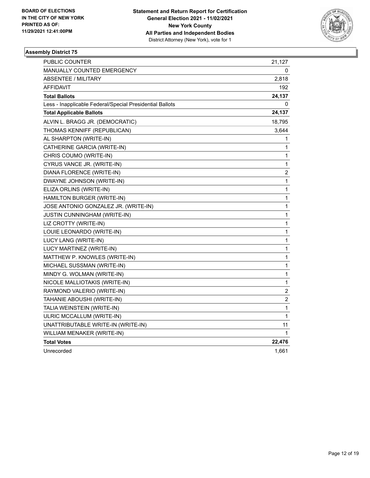

| <b>PUBLIC COUNTER</b>                                    | 21,127                  |
|----------------------------------------------------------|-------------------------|
| <b>MANUALLY COUNTED EMERGENCY</b>                        | 0                       |
| ABSENTEE / MILITARY                                      | 2,818                   |
| <b>AFFIDAVIT</b>                                         | 192                     |
| <b>Total Ballots</b>                                     | 24,137                  |
| Less - Inapplicable Federal/Special Presidential Ballots | 0                       |
| <b>Total Applicable Ballots</b>                          | 24,137                  |
| ALVIN L. BRAGG JR. (DEMOCRATIC)                          | 18,795                  |
| THOMAS KENNIFF (REPUBLICAN)                              | 3,644                   |
| AL SHARPTON (WRITE-IN)                                   | 1                       |
| CATHERINE GARCIA (WRITE-IN)                              | 1                       |
| CHRIS COUMO (WRITE-IN)                                   | 1                       |
| CYRUS VANCE JR. (WRITE-IN)                               | 1                       |
| DIANA FLORENCE (WRITE-IN)                                | $\overline{\mathbf{c}}$ |
| DWAYNE JOHNSON (WRITE-IN)                                | 1                       |
| ELIZA ORLINS (WRITE-IN)                                  | 1                       |
| HAMILTON BURGER (WRITE-IN)                               | 1                       |
| JOSE ANTONIO GONZALEZ JR. (WRITE-IN)                     | 1                       |
| JUSTIN CUNNINGHAM (WRITE-IN)                             | 1                       |
| LIZ CROTTY (WRITE-IN)                                    | 1                       |
| LOUIE LEONARDO (WRITE-IN)                                | 1                       |
| LUCY LANG (WRITE-IN)                                     | $\mathbf{1}$            |
| LUCY MARTINEZ (WRITE-IN)                                 | 1                       |
| MATTHEW P. KNOWLES (WRITE-IN)                            | 1                       |
| MICHAEL SUSSMAN (WRITE-IN)                               | 1                       |
| MINDY G. WOLMAN (WRITE-IN)                               | 1                       |
| NICOLE MALLIOTAKIS (WRITE-IN)                            | 1                       |
| RAYMOND VALERIO (WRITE-IN)                               | 2                       |
| TAHANIE ABOUSHI (WRITE-IN)                               | $\overline{c}$          |
| TALIA WEINSTEIN (WRITE-IN)                               | 1                       |
| ULRIC MCCALLUM (WRITE-IN)                                | 1                       |
| UNATTRIBUTABLE WRITE-IN (WRITE-IN)                       | 11                      |
| WILLIAM MENAKER (WRITE-IN)                               | 1                       |
| <b>Total Votes</b>                                       | 22,476                  |
| Unrecorded                                               | 1,661                   |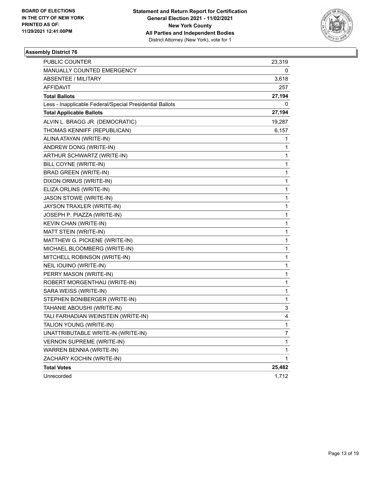

| <b>PUBLIC COUNTER</b>                                    | 23,319       |
|----------------------------------------------------------|--------------|
| MANUALLY COUNTED EMERGENCY                               | 0            |
| <b>ABSENTEE / MILITARY</b>                               | 3,618        |
| AFFIDAVIT                                                | 257          |
| <b>Total Ballots</b>                                     | 27,194       |
| Less - Inapplicable Federal/Special Presidential Ballots | 0            |
| <b>Total Applicable Ballots</b>                          | 27,194       |
| ALVIN L. BRAGG JR. (DEMOCRATIC)                          | 19,287       |
| THOMAS KENNIFF (REPUBLICAN)                              | 6,157        |
| ALINA ATAYAN (WRITE-IN)                                  | 1            |
| ANDREW DONG (WRITE-IN)                                   | 1            |
| ARTHUR SCHWARTZ (WRITE-IN)                               | 1            |
| BILL COYNE (WRITE-IN)                                    | 1            |
| <b>BRAD GREEN (WRITE-IN)</b>                             | 1            |
| DIXON ORMUS (WRITE-IN)                                   | 1            |
| ELIZA ORLINS (WRITE-IN)                                  | 1            |
| JASON STOWE (WRITE-IN)                                   | 1            |
| JAYSON TRAXLER (WRITE-IN)                                | 1            |
| JOSEPH P. PIAZZA (WRITE-IN)                              | 1            |
| KEVIN CHAN (WRITE-IN)                                    | 1            |
| MATT STEIN (WRITE-IN)                                    | 1            |
| MATTHEW G. PICKENE (WRITE-IN)                            | 1            |
| MICHAEL BLOOMBERG (WRITE-IN)                             | 1            |
| MITCHELL ROBINSON (WRITE-IN)                             | 1            |
| NEIL IOUINO (WRITE-IN)                                   | 1            |
| PERRY MASON (WRITE-IN)                                   | 1            |
| ROBERT MORGENTHAU (WRITE-IN)                             | 1            |
| SARA WEISS (WRITE-IN)                                    | 1            |
| STEPHEN BONIBERGER (WRITE-IN)                            | 1            |
| TAHANIE ABOUSHI (WRITE-IN)                               | 3            |
| TALI FARHADIAN WEINSTEIN (WRITE-IN)                      | 4            |
| TALION YOUNG (WRITE-IN)                                  | 1            |
| UNATTRIBUTABLE WRITE-IN (WRITE-IN)                       | 7            |
| <b>VERNON SUPREME (WRITE-IN)</b>                         | $\mathbf{1}$ |
| WARREN BENNIA (WRITE-IN)                                 | 1            |
| ZACHARY KOCHIN (WRITE-IN)                                | 1            |
| <b>Total Votes</b>                                       | 25,482       |
| Unrecorded                                               | 1,712        |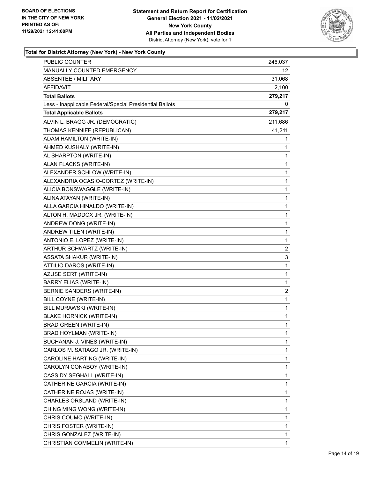

| <b>PUBLIC COUNTER</b>                                    | 246,037                 |
|----------------------------------------------------------|-------------------------|
| MANUALLY COUNTED EMERGENCY                               | 12                      |
| <b>ABSENTEE / MILITARY</b>                               | 31,068                  |
| AFFIDAVIT                                                | 2,100                   |
| <b>Total Ballots</b>                                     | 279,217                 |
| Less - Inapplicable Federal/Special Presidential Ballots | 0                       |
| <b>Total Applicable Ballots</b>                          | 279,217                 |
| ALVIN L. BRAGG JR. (DEMOCRATIC)                          | 211,686                 |
| THOMAS KENNIFF (REPUBLICAN)                              | 41,211                  |
| ADAM HAMILTON (WRITE-IN)                                 | 1                       |
| AHMED KUSHALY (WRITE-IN)                                 | 1                       |
| AL SHARPTON (WRITE-IN)                                   | 1                       |
| ALAN FLACKS (WRITE-IN)                                   | 1                       |
| ALEXANDER SCHLOW (WRITE-IN)                              | 1                       |
| ALEXANDRIA OCASIO-CORTEZ (WRITE-IN)                      | 1                       |
| ALICIA BONSWAGGLE (WRITE-IN)                             | 1                       |
| ALINA ATAYAN (WRITE-IN)                                  | 1                       |
| ALLA GARCIA HINALDO (WRITE-IN)                           | 1                       |
| ALTON H. MADDOX JR. (WRITE-IN)                           | 1                       |
| ANDREW DONG (WRITE-IN)                                   | 1                       |
| ANDREW TILEN (WRITE-IN)                                  | 1                       |
| ANTONIO E. LOPEZ (WRITE-IN)                              | 1                       |
| ARTHUR SCHWARTZ (WRITE-IN)                               | 2                       |
| <b>ASSATA SHAKUR (WRITE-IN)</b>                          | 3                       |
| ATTILIO DAROS (WRITE-IN)                                 | 1                       |
| AZUSE SERT (WRITE-IN)                                    | 1                       |
| <b>BARRY ELIAS (WRITE-IN)</b>                            | 1                       |
| BERNIE SANDERS (WRITE-IN)                                | $\overline{\mathbf{c}}$ |
| BILL COYNE (WRITE-IN)                                    | 1                       |
| BILL MURAWSKI (WRITE-IN)                                 | 1                       |
| <b>BLAKE HORNICK (WRITE-IN)</b>                          | 1                       |
| <b>BRAD GREEN (WRITE-IN)</b>                             | $\mathbf{1}$            |
| BRAD HOYLMAN (WRITE-IN)                                  | 1                       |
| BUCHANAN J. VINES (WRITE-IN)                             | 1                       |
| CARLOS M. SATIAGO JR. (WRITE-IN)                         | 1                       |
| CAROLINE HARTING (WRITE-IN)                              | 1                       |
| CAROLYN CONABOY (WRITE-IN)                               | 1                       |
| CASSIDY SEGHALL (WRITE-IN)                               | 1                       |
| CATHERINE GARCIA (WRITE-IN)                              | 1                       |
| CATHERINE ROJAS (WRITE-IN)                               | 1                       |
| CHARLES ORSLAND (WRITE-IN)                               | 1                       |
| CHING MING WONG (WRITE-IN)                               | 1                       |
| CHRIS COUMO (WRITE-IN)                                   | 1                       |
| CHRIS FOSTER (WRITE-IN)                                  | 1                       |
| CHRIS GONZALEZ (WRITE-IN)                                | 1                       |
| CHRISTIAN COMMELIN (WRITE-IN)                            | 1                       |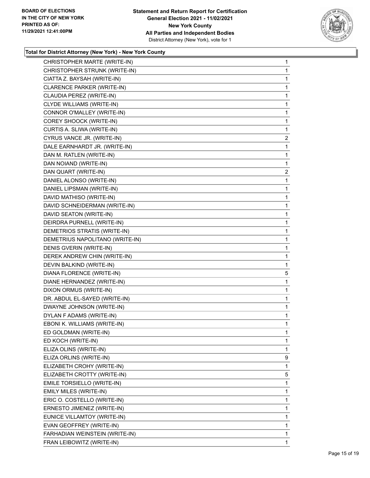

| CHRISTOPHER MARTE (WRITE-IN)    | $\mathbf{1}$   |
|---------------------------------|----------------|
| CHRISTOPHER STRUNK (WRITE-IN)   | 1              |
| CIATTA Z. BAYSAH (WRITE-IN)     | 1              |
| CLARENCE PARKER (WRITE-IN)      | 1              |
| CLAUDIA PEREZ (WRITE-IN)        | 1              |
| CLYDE WILLIAMS (WRITE-IN)       | 1              |
| CONNOR O'MALLEY (WRITE-IN)      | 1              |
| COREY SHOOCK (WRITE-IN)         | 1              |
| CURTIS A. SLIWA (WRITE-IN)      | 1              |
| CYRUS VANCE JR. (WRITE-IN)      | $\overline{2}$ |
| DALE EARNHARDT JR. (WRITE-IN)   | 1              |
| DAN M. RATLEN (WRITE-IN)        | 1              |
| DAN NOIAND (WRITE-IN)           | 1              |
| DAN QUART (WRITE-IN)            | $\overline{2}$ |
| DANIEL ALONSO (WRITE-IN)        | 1              |
| DANIEL LIPSMAN (WRITE-IN)       | 1              |
| DAVID MATHISO (WRITE-IN)        | 1              |
| DAVID SCHNEIDERMAN (WRITE-IN)   | 1              |
| DAVID SEATON (WRITE-IN)         | 1              |
| DEIRDRA PURNELL (WRITE-IN)      | 1              |
| DEMETRIOS STRATIS (WRITE-IN)    | 1              |
| DEMETRIUS NAPOLITANO (WRITE-IN) | 1              |
| DENIS GVERIN (WRITE-IN)         | 1              |
| DEREK ANDREW CHIN (WRITE-IN)    | 1              |
| DEVIN BALKIND (WRITE-IN)        | 1              |
| DIANA FLORENCE (WRITE-IN)       | 5              |
| DIANE HERNANDEZ (WRITE-IN)      | 1              |
| DIXON ORMUS (WRITE-IN)          | 1              |
| DR. ABDUL EL-SAYED (WRITE-IN)   | 1              |
| DWAYNE JOHNSON (WRITE-IN)       | 1              |
| DYLAN F ADAMS (WRITE-IN)        | 1              |
| EBONI K. WILLIAMS (WRITE-IN)    | 1              |
| ED GOLDMAN (WRITE-IN)           | 1              |
| ED KOCH (WRITE-IN)              | 1              |
| ELIZA OLINS (WRITE-IN)          | 1              |
| ELIZA ORLINS (WRITE-IN)         | 9              |
| ELIZABETH CROHY (WRITE-IN)      | 1              |
| ELIZABETH CROTTY (WRITE-IN)     | 5              |
| EMILE TORSIELLO (WRITE-IN)      | 1              |
| EMILY MILES (WRITE-IN)          | 1              |
| ERIC O. COSTELLO (WRITE-IN)     | 1              |
| ERNESTO JIMENEZ (WRITE-IN)      | 1              |
| EUNICE VILLAMTOY (WRITE-IN)     | 1              |
| EVAN GEOFFREY (WRITE-IN)        | 1              |
| FARHADIAN WEINSTEIN (WRITE-IN)  | 1              |
| FRAN LEIBOWITZ (WRITE-IN)       | 1              |
|                                 |                |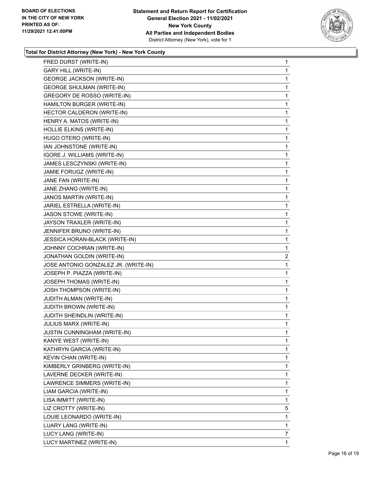

| FRED DURST (WRITE-IN)                | 1              |
|--------------------------------------|----------------|
| <b>GARY HILL (WRITE-IN)</b>          | 1              |
| <b>GEORGE JACKSON (WRITE-IN)</b>     | 1              |
| <b>GEORGE SHULMAN (WRITE-IN)</b>     | 1              |
| GREGORY DE ROSSO (WRITE-IN)          | 1              |
| HAMILTON BURGER (WRITE-IN)           | 1              |
| HECTOR CALDERON (WRITE-IN)           | 1              |
| HENRY A. MATOS (WRITE-IN)            | 1              |
| HOLLIE ELKINS (WRITE-IN)             | 1              |
| HUGO OTERO (WRITE-IN)                | 1              |
| IAN JOHNSTONE (WRITE-IN)             | 1              |
| IGORE J. WILLIAMS (WRITE-IN)         | 1              |
| JAMES LESCZYNSKI (WRITE-IN)          | 1              |
| JAMIE FORUGZ (WRITE-IN)              | 1              |
| JANE FAN (WRITE-IN)                  | 1              |
| JANE ZHANG (WRITE-IN)                | 1              |
| JANOS MARTIN (WRITE-IN)              | 1              |
| JARIEL ESTRELLA (WRITE-IN)           | 1              |
| <b>JASON STOWE (WRITE-IN)</b>        | 1              |
| JAYSON TRAXLER (WRITE-IN)            | 1              |
| JENNIFER BRUNO (WRITE-IN)            | 1              |
| JESSICA HORAN-BLACK (WRITE-IN)       | 1              |
| JOHNNY COCHRAN (WRITE-IN)            | 1              |
|                                      |                |
| JONATHAN GOLDIN (WRITE-IN)           | 2              |
| JOSE ANTONIO GONZALEZ JR. (WRITE-IN) | 1              |
| JOSEPH P. PIAZZA (WRITE-IN)          | 1              |
| JOSEPH THOMAS (WRITE-IN)             | 1              |
| JOSH THOMPSON (WRITE-IN)             | 1              |
| JUDITH ALMAN (WRITE-IN)              | 1              |
| <b>JUDITH BROWN (WRITE-IN)</b>       | 1              |
| JUDITH SHEINDLIN (WRITE-IN)          | 1              |
| JULIUS MARX (WRITE-IN)               | 1              |
| <b>JUSTIN CUNNINGHAM (WRITE-IN)</b>  | 1              |
| KANYE WEST (WRITE-IN)                | 1              |
| KATHRYN GARCIA (WRITE-IN)            | 1              |
| KEVIN CHAN (WRITE-IN)                | 1              |
| KIMBERLY GRINBERG (WRITE-IN)         | 1              |
| LAVERNE DECKER (WRITE-IN)            | 1              |
| LAWRENCE SIMMERS (WRITE-IN)          | 1              |
| LIAM GARCIA (WRITE-IN)               | 1              |
| LISA IMMITT (WRITE-IN)               | 1              |
| LIZ CROTTY (WRITE-IN)                | 5              |
| LOUIE LEONARDO (WRITE-IN)            | 1              |
| LUARY LANG (WRITE-IN)                | 1              |
| LUCY LANG (WRITE-IN)                 | $\overline{7}$ |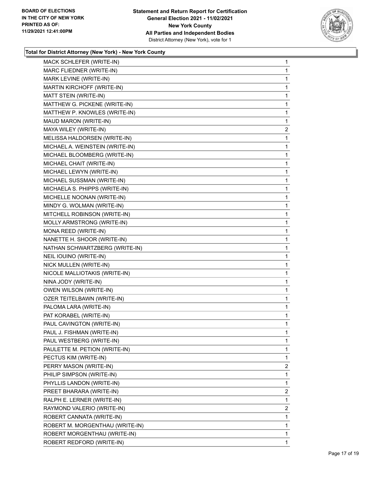

| MACK SCHLEFER (WRITE-IN)        | 1              |
|---------------------------------|----------------|
| MARC FLIEDNER (WRITE-IN)        | 1              |
| MARK LEVINE (WRITE-IN)          | 1              |
| MARTIN KIRCHOFF (WRITE-IN)      | 1              |
| MATT STEIN (WRITE-IN)           | 1              |
| MATTHEW G. PICKENE (WRITE-IN)   | 1              |
| MATTHEW P. KNOWLES (WRITE-IN)   | 1              |
| MAUD MARON (WRITE-IN)           | 1              |
| MAYA WILEY (WRITE-IN)           | $\overline{2}$ |
| MELISSA HALDORSEN (WRITE-IN)    | 1              |
| MICHAEL A. WEINSTEIN (WRITE-IN) | 1              |
| MICHAEL BLOOMBERG (WRITE-IN)    | 1              |
| MICHAEL CHAIT (WRITE-IN)        | 1              |
| MICHAEL LEWYN (WRITE-IN)        | 1              |
| MICHAEL SUSSMAN (WRITE-IN)      | 1              |
| MICHAELA S. PHIPPS (WRITE-IN)   | 1              |
| MICHELLE NOONAN (WRITE-IN)      | 1              |
| MINDY G. WOLMAN (WRITE-IN)      | 1              |
| MITCHELL ROBINSON (WRITE-IN)    | 1              |
| MOLLY ARMSTRONG (WRITE-IN)      | 1              |
| MONA REED (WRITE-IN)            | 1              |
| NANETTE H. SHOOR (WRITE-IN)     | 1              |
| NATHAN SCHWARTZBERG (WRITE-IN)  | 1              |
| NEIL IOUINO (WRITE-IN)          | 1              |
| NICK MULLEN (WRITE-IN)          | 1              |
| NICOLE MALLIOTAKIS (WRITE-IN)   | 1              |
| NINA JODY (WRITE-IN)            | 1              |
| OWEN WILSON (WRITE-IN)          | 1              |
| OZER TEITELBAWN (WRITE-IN)      | 1              |
| PALOMA LARA (WRITE-IN)          | 1              |
| PAT KORABEL (WRITE-IN)          | 1              |
| PAUL CAVINGTON (WRITE-IN)       | 1              |
| PAUL J. FISHMAN (WRITE-IN)      | 1              |
| PAUL WESTBERG (WRITE-IN)        | 1              |
| PAULETTE M. PETION (WRITE-IN)   | 1              |
| PECTUS KIM (WRITE-IN)           | 1              |
| PERRY MASON (WRITE-IN)          | $\overline{2}$ |
| PHILIP SIMPSON (WRITE-IN)       | 1              |
| PHYLLIS LANDON (WRITE-IN)       | 1              |
| PREET BHARARA (WRITE-IN)        | 2              |
| RALPH E. LERNER (WRITE-IN)      | 1              |
| RAYMOND VALERIO (WRITE-IN)      | 2              |
| ROBERT CANNATA (WRITE-IN)       | 1              |
| ROBERT M. MORGENTHAU (WRITE-IN) | 1              |
| ROBERT MORGENTHAU (WRITE-IN)    | 1              |
| ROBERT REDFORD (WRITE-IN)       | 1              |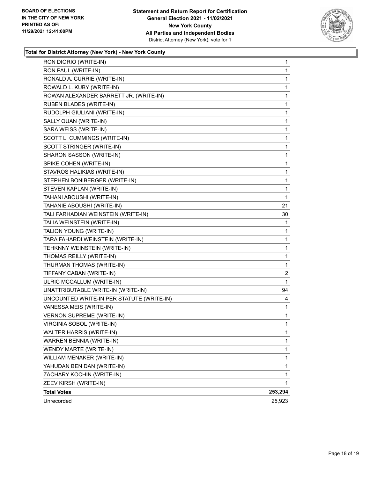

| RON DIORIO (WRITE-IN)                     | 1       |
|-------------------------------------------|---------|
| RON PAUL (WRITE-IN)                       | 1       |
| RONALD A. CURRIE (WRITE-IN)               | 1       |
| ROWALD L. KUBY (WRITE-IN)                 | 1       |
| ROWAN ALEXANDER BARRETT JR. (WRITE-IN)    | 1       |
| RUBEN BLADES (WRITE-IN)                   | 1       |
| RUDOLPH GIULIANI (WRITE-IN)               | 1       |
| SALLY QUAN (WRITE-IN)                     | 1       |
| SARA WEISS (WRITE-IN)                     | 1       |
| SCOTT L. CUMMINGS (WRITE-IN)              | 1       |
| SCOTT STRINGER (WRITE-IN)                 | 1       |
| SHARON SASSON (WRITE-IN)                  | 1       |
| SPIKE COHEN (WRITE-IN)                    | 1       |
| STAVROS HALIKIAS (WRITE-IN)               | 1       |
| STEPHEN BONIBERGER (WRITE-IN)             | 1       |
| STEVEN KAPLAN (WRITE-IN)                  | 1       |
| TAHANI ABOUSHI (WRITE-IN)                 | 1       |
| TAHANIE ABOUSHI (WRITE-IN)                | 21      |
| TALI FARHADIAN WEINSTEIN (WRITE-IN)       | 30      |
| TALIA WEINSTEIN (WRITE-IN)                | 1       |
| TALION YOUNG (WRITE-IN)                   | 1       |
| TARA FAHARDI WEINSTEIN (WRITE-IN)         | 1       |
| TEHKNNY WEINSTEIN (WRITE-IN)              | 1       |
| THOMAS REILLY (WRITE-IN)                  | 1       |
| THURMAN THOMAS (WRITE-IN)                 | 1       |
| TIFFANY CABAN (WRITE-IN)                  | 2       |
| ULRIC MCCALLUM (WRITE-IN)                 | 1       |
| UNATTRIBUTABLE WRITE-IN (WRITE-IN)        | 94      |
| UNCOUNTED WRITE-IN PER STATUTE (WRITE-IN) | 4       |
| VANESSA MEIS (WRITE-IN)                   | 1       |
| VERNON SUPREME (WRITE-IN)                 | 1       |
| VIRGINIA SOBOL (WRITE-IN)                 | 1       |
| <b>WALTER HARRIS (WRITE-IN)</b>           | 1       |
| WARREN BENNIA (WRITE-IN)                  | 1       |
| WENDY MARTE (WRITE-IN)                    | 1       |
| WILLIAM MENAKER (WRITE-IN)                | 1       |
| YAHUDAN BEN DAN (WRITE-IN)                | 1       |
| ZACHARY KOCHIN (WRITE-IN)                 | 1       |
| ZEEV KIRSH (WRITE-IN)                     | 1       |
| <b>Total Votes</b>                        | 253,294 |
| Unrecorded                                | 25,923  |